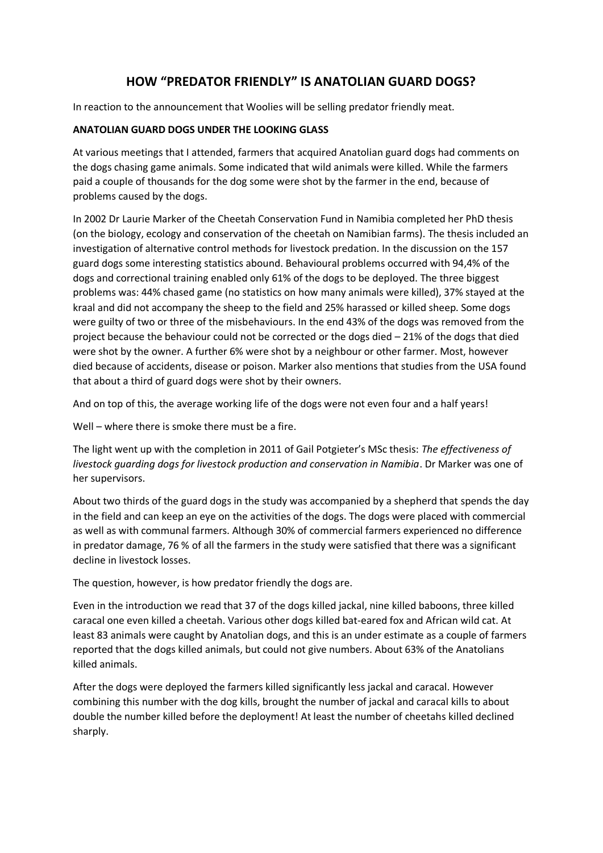## **HOW "PREDATOR FRIENDLY" IS ANATOLIAN GUARD DOGS?**

In reaction to the announcement that Woolies will be selling predator friendly meat.

## **ANATOLIAN GUARD DOGS UNDER THE LOOKING GLASS**

At various meetings that I attended, farmers that acquired Anatolian guard dogs had comments on the dogs chasing game animals. Some indicated that wild animals were killed. While the farmers paid a couple of thousands for the dog some were shot by the farmer in the end, because of problems caused by the dogs.

In 2002 Dr Laurie Marker of the Cheetah Conservation Fund in Namibia completed her PhD thesis (on the biology, ecology and conservation of the cheetah on Namibian farms). The thesis included an investigation of alternative control methods for livestock predation. In the discussion on the 157 guard dogs some interesting statistics abound. Behavioural problems occurred with 94,4% of the dogs and correctional training enabled only 61% of the dogs to be deployed. The three biggest problems was: 44% chased game (no statistics on how many animals were killed), 37% stayed at the kraal and did not accompany the sheep to the field and 25% harassed or killed sheep. Some dogs were guilty of two or three of the misbehaviours. In the end 43% of the dogs was removed from the project because the behaviour could not be corrected or the dogs died – 21% of the dogs that died were shot by the owner. A further 6% were shot by a neighbour or other farmer. Most, however died because of accidents, disease or poison. Marker also mentions that studies from the USA found that about a third of guard dogs were shot by their owners.

And on top of this, the average working life of the dogs were not even four and a half years!

Well – where there is smoke there must be a fire.

The light went up with the completion in 2011 of Gail Potgieter's MSc thesis: *The effectiveness of livestock guarding dogs for livestock production and conservation in Namibia*. Dr Marker was one of her supervisors.

About two thirds of the guard dogs in the study was accompanied by a shepherd that spends the day in the field and can keep an eye on the activities of the dogs. The dogs were placed with commercial as well as with communal farmers. Although 30% of commercial farmers experienced no difference in predator damage, 76 % of all the farmers in the study were satisfied that there was a significant decline in livestock losses.

The question, however, is how predator friendly the dogs are.

Even in the introduction we read that 37 of the dogs killed jackal, nine killed baboons, three killed caracal one even killed a cheetah. Various other dogs killed bat-eared fox and African wild cat. At least 83 animals were caught by Anatolian dogs, and this is an under estimate as a couple of farmers reported that the dogs killed animals, but could not give numbers. About 63% of the Anatolians killed animals.

After the dogs were deployed the farmers killed significantly less jackal and caracal. However combining this number with the dog kills, brought the number of jackal and caracal kills to about double the number killed before the deployment! At least the number of cheetahs killed declined sharply.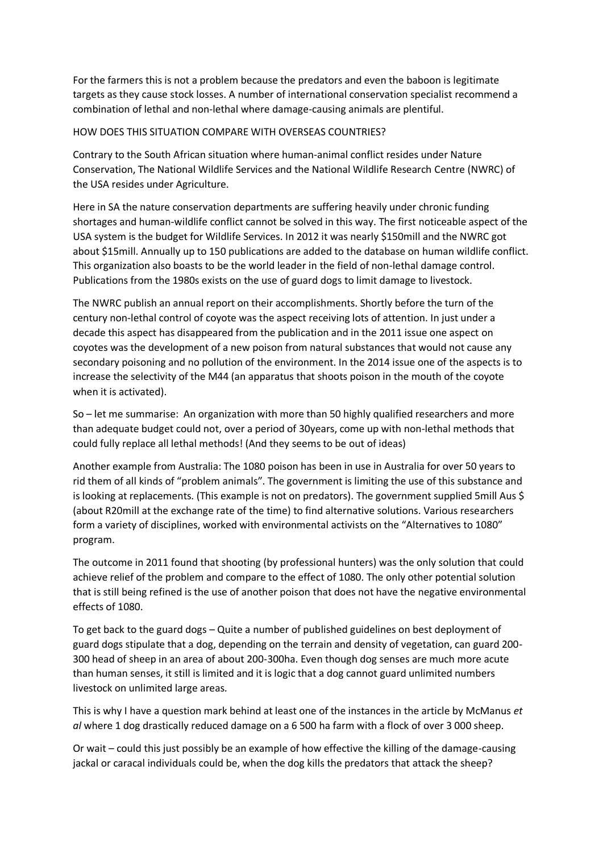For the farmers this is not a problem because the predators and even the baboon is legitimate targets as they cause stock losses. A number of international conservation specialist recommend a combination of lethal and non-lethal where damage-causing animals are plentiful.

## HOW DOES THIS SITUATION COMPARE WITH OVERSEAS COUNTRIES?

Contrary to the South African situation where human-animal conflict resides under Nature Conservation, The National Wildlife Services and the National Wildlife Research Centre (NWRC) of the USA resides under Agriculture.

Here in SA the nature conservation departments are suffering heavily under chronic funding shortages and human-wildlife conflict cannot be solved in this way. The first noticeable aspect of the USA system is the budget for Wildlife Services. In 2012 it was nearly \$150mill and the NWRC got about \$15mill. Annually up to 150 publications are added to the database on human wildlife conflict. This organization also boasts to be the world leader in the field of non-lethal damage control. Publications from the 1980s exists on the use of guard dogs to limit damage to livestock.

The NWRC publish an annual report on their accomplishments. Shortly before the turn of the century non-lethal control of coyote was the aspect receiving lots of attention. In just under a decade this aspect has disappeared from the publication and in the 2011 issue one aspect on coyotes was the development of a new poison from natural substances that would not cause any secondary poisoning and no pollution of the environment. In the 2014 issue one of the aspects is to increase the selectivity of the M44 (an apparatus that shoots poison in the mouth of the coyote when it is activated).

So – let me summarise: An organization with more than 50 highly qualified researchers and more than adequate budget could not, over a period of 30years, come up with non-lethal methods that could fully replace all lethal methods! (And they seems to be out of ideas)

Another example from Australia: The 1080 poison has been in use in Australia for over 50 years to rid them of all kinds of "problem animals". The government is limiting the use of this substance and is looking at replacements. (This example is not on predators). The government supplied 5mill Aus \$ (about R20mill at the exchange rate of the time) to find alternative solutions. Various researchers form a variety of disciplines, worked with environmental activists on the "Alternatives to 1080" program.

The outcome in 2011 found that shooting (by professional hunters) was the only solution that could achieve relief of the problem and compare to the effect of 1080. The only other potential solution that is still being refined is the use of another poison that does not have the negative environmental effects of 1080.

To get back to the guard dogs – Quite a number of published guidelines on best deployment of guard dogs stipulate that a dog, depending on the terrain and density of vegetation, can guard 200- 300 head of sheep in an area of about 200-300ha. Even though dog senses are much more acute than human senses, it still is limited and it is logic that a dog cannot guard unlimited numbers livestock on unlimited large areas.

This is why I have a question mark behind at least one of the instances in the article by McManus *et al* where 1 dog drastically reduced damage on a 6 500 ha farm with a flock of over 3 000 sheep.

Or wait – could this just possibly be an example of how effective the killing of the damage-causing jackal or caracal individuals could be, when the dog kills the predators that attack the sheep?